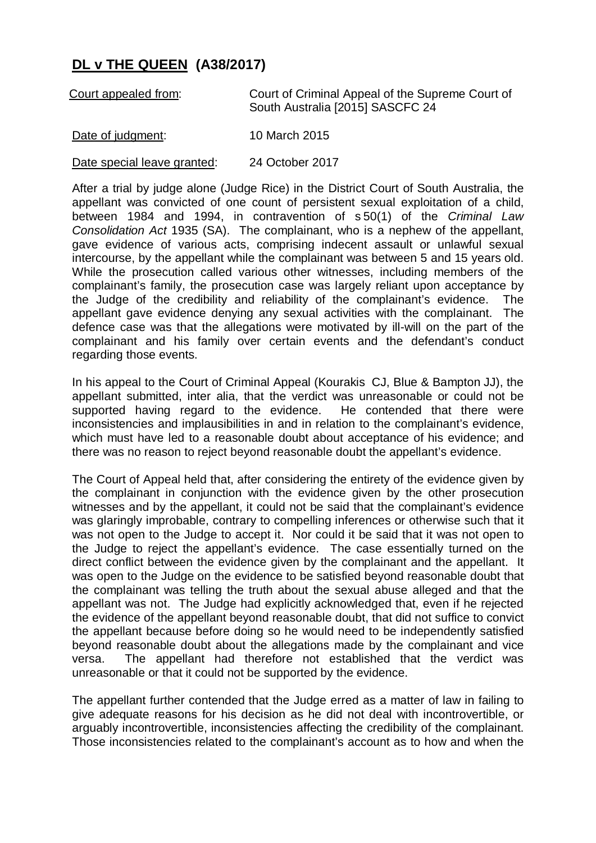## **DL v THE QUEEN (A38/2017)**

| Court appealed from:        | Court of Criminal Appeal of the Supreme Court of<br>South Australia [2015] SASCFC 24 |
|-----------------------------|--------------------------------------------------------------------------------------|
| Date of judgment:           | 10 March 2015                                                                        |
| Date special leave granted: | 24 October 2017                                                                      |

After a trial by judge alone (Judge Rice) in the District Court of South Australia, the appellant was convicted of one count of persistent sexual exploitation of a child, between 1984 and 1994, in contravention of s 50(1) of the *Criminal Law Consolidation Act* 1935 (SA). The complainant, who is a nephew of the appellant, gave evidence of various acts, comprising indecent assault or unlawful sexual intercourse, by the appellant while the complainant was between 5 and 15 years old. While the prosecution called various other witnesses, including members of the complainant's family, the prosecution case was largely reliant upon acceptance by the Judge of the credibility and reliability of the complainant's evidence. The appellant gave evidence denying any sexual activities with the complainant. The defence case was that the allegations were motivated by ill-will on the part of the complainant and his family over certain events and the defendant's conduct regarding those events.

In his appeal to the Court of Criminal Appeal (Kourakis CJ, Blue & Bampton JJ), the appellant submitted, inter alia, that the verdict was unreasonable or could not be supported having regard to the evidence. He contended that there were inconsistencies and implausibilities in and in relation to the complainant's evidence, which must have led to a reasonable doubt about acceptance of his evidence; and there was no reason to reject beyond reasonable doubt the appellant's evidence.

The Court of Appeal held that, after considering the entirety of the evidence given by the complainant in conjunction with the evidence given by the other prosecution witnesses and by the appellant, it could not be said that the complainant's evidence was glaringly improbable, contrary to compelling inferences or otherwise such that it was not open to the Judge to accept it. Nor could it be said that it was not open to the Judge to reject the appellant's evidence. The case essentially turned on the direct conflict between the evidence given by the complainant and the appellant. It was open to the Judge on the evidence to be satisfied beyond reasonable doubt that the complainant was telling the truth about the sexual abuse alleged and that the appellant was not. The Judge had explicitly acknowledged that, even if he rejected the evidence of the appellant beyond reasonable doubt, that did not suffice to convict the appellant because before doing so he would need to be independently satisfied beyond reasonable doubt about the allegations made by the complainant and vice versa. The appellant had therefore not established that the verdict was unreasonable or that it could not be supported by the evidence.

The appellant further contended that the Judge erred as a matter of law in failing to give adequate reasons for his decision as he did not deal with incontrovertible, or arguably incontrovertible, inconsistencies affecting the credibility of the complainant. Those inconsistencies related to the complainant's account as to how and when the